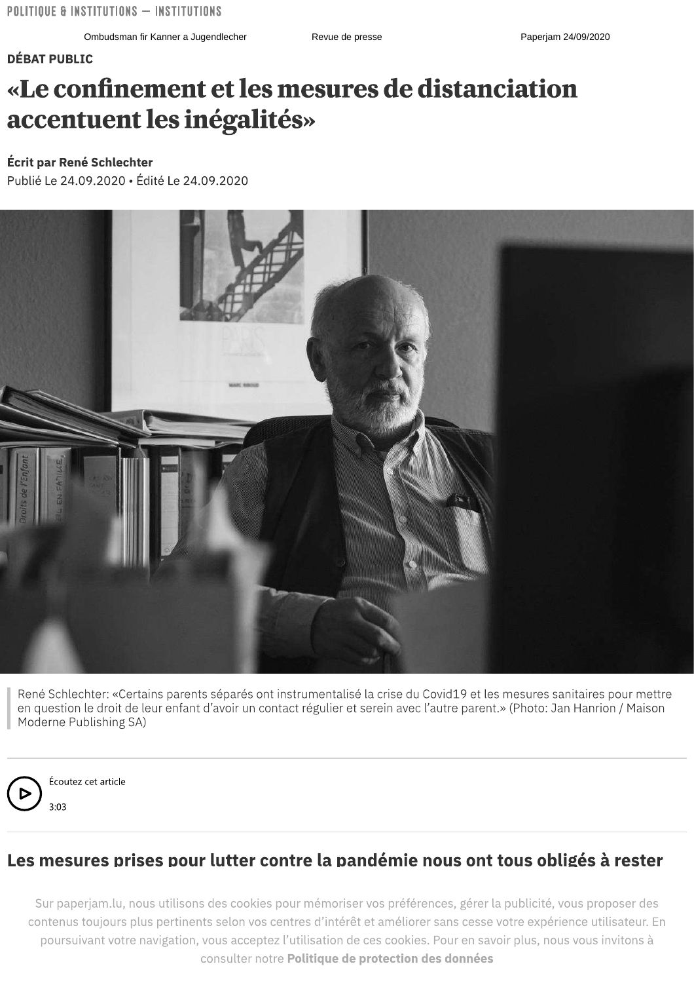#### **DÉBAT PUBLIC**

## «Le confinement et les mesures de distanciation accentuent les inégalités»

#### Écrit par René Schlechter

Publié Le 24.09.2020 • Édité Le 24.09.2020



René Schlechter: «Certains parents séparés ont instrumentalisé la crise du Covid19 et les mesures sanitaires pour mettre en question le droit de leur enfant d'avoir un contact régulier et serein avec l'autre parent.» (Photo: Jan Hanrion / Maison Moderne Publishing SA)



Écoutez cet article  $3:03$ 

### Les mesures prises pour lutter contre la pandémie nous ont tous obligés à rester

Sur paperjam.lu, nous utilisons des cookies pour mémoriser vos préférences, gérer la publicité, vous proposer des contenus toujours plus pertinents selon vos centres d'intérêt et améliorer sans cesse votre expérience utilisateur. En poursuivant votre navigation, vous acceptez l'utilisation de ces cookies. Pour en savoir plus, nous vous invitons à consulter notre Politique de protection des données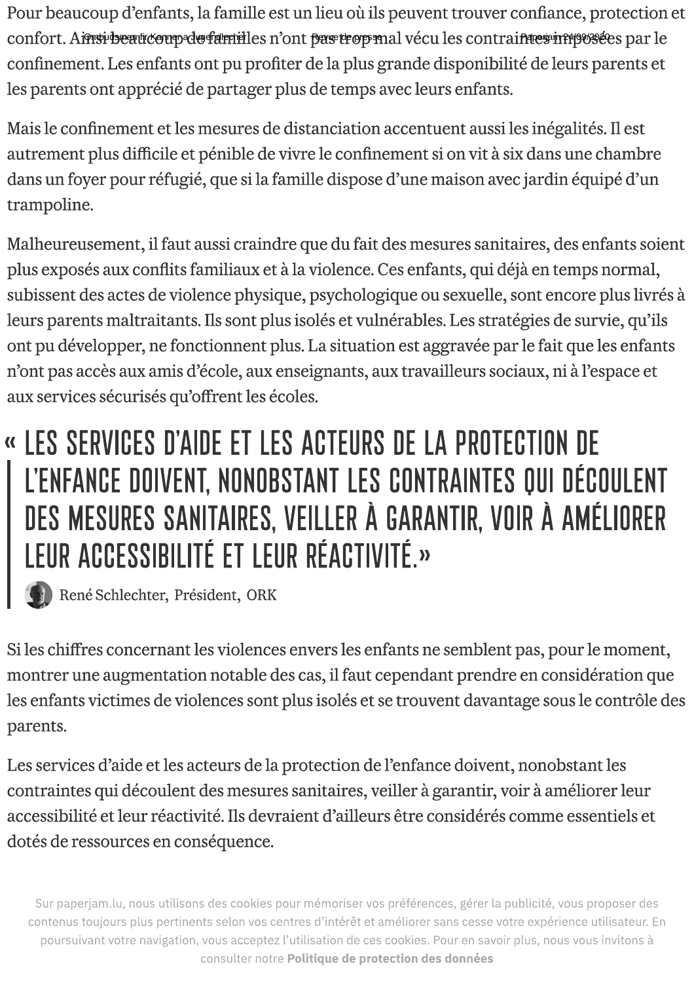Pour beaucoup d'enfants, la famille est un lieu ou ils peuvent trouver confiance, protection et l' confort. Af<del>traviseauteoup de farmi</del>les n'ont <del>pas trop m</del>al vecu les contrai<del>ntes miljosse</del>s par le confinement. Les enfants ont pu profiter de la plus grande disponibilite de leurs parents et les parents ont apprecie de partager plus de temps avec leurs enfants.

Mais le confinement et les mesures de distanciation accentuent aussi les inegalites. Il est autrement plus difficile et penible de vivre le confinement si on vit à six dans une chambre dans un foyer pour refugie, que si la famille dispose d'une maison avec jardin equipe d'un trampoline.

Pour beaucoup d'enfants, la famille e<br>confort. Ainsiphenticempele familles r<br>confinement. Les enfants ont pu prof<br>les parents ont apprécié de partager<br>Mais le confinement et les mesures d<br>autrement plus difficile et pénibl Malheureusement, il faut aussi craindre que du fait des mesures sanitaires, des enfants soient plus exposés aux conflits familiaux et à la violènce. Ces enfants, qui déjà en temps normal, subissent des actes de violence physique, psychologique ou sexuelle, sont encore plus livres à confinement et les mesures de distanciation accentuent aussi les in<br>ent plus difficile et pénible de vivre le confinement si on vit à six da<br>foyer pour réfugié, que si la famille dispose d'une maison avec jar-<br>line.<br>reusem leurs parents maltraitants. Ils sont plus isoles et vulnerables. Les stratègies de survie, qu'ils ont pu développer, ne fonctionnent plus. La situation est aggravée par le fait que les enfants n'ont pas accès aux amis d'école, aux enseignants, aux travailleurs sociaux, ni à l'espace et  $\;$ aux services sécurisés qu'offrent les écoles. TOT. A<del>RES book and</del> states and the particular and tect less contrains the section and the section and the section and the particular state of the particular state of the particular state of the particular state particular

# <sup>«</sup> LES SERVICES D'AIDE ET LES ACTEURS DE LA PRUTECTIUN DE<br>L'ITELECTION DOUGLE HOMODOTANT LES SONTRANITES QUI RÉSOU L'ENFANCE DOIVENT, NONOBSTANT LES CONTRAINTES QUI DÉCOULENT DES MESURES SANITAIRES, VEILLER À GARANTIR, VOIR À AMÉLIORER LEUR ACCESSIBILITÉ ET LEUR RÉACTIVITÉ.»

René Schlechter, President, ORK

Si les chiffres concernant les violences envers les enfants ne semblent pas, pour le moment, montrer une augmentation notable des cas, il faut cependant prendre en consideration que les enfants victimes de violences sont plus isoles et se trouvent davantage sous le controle des parents

parents.<br>Les services d'aide et les acteurs de la protection de l'enfance doivent, nonobstant les contraintes qui decoulent des mesures sanitaires, veiller a garantir, voir a ameliorer leur accessibilite et leur reactivite. Ils devraient d'ailleurs etre consideres comme essentiels et dotes de ressources en consequence.

Sur paperjam.iu, nous utilisons des cookies pour memoriser vos preferences, gerer la publicité, vous proposer des<br>Contonus toujours plus pertinents selon vos contres d'intérêt et emélierer sens esses votre expérience utili paperjam.iu, nous utilisons des cookies pour memoriser vos preferènces, gerer la publicité, vous propos<br>ontre toujours plus pertinents selon ves contres d'intérêt et emélierer sens esses votre expérience utilise ,<br>poursuivant votre navigation, vous acceptez l'utilisation de ces cookies. Pour en savoir plus, nous vous invitons à consulter notre Politique de protection des données